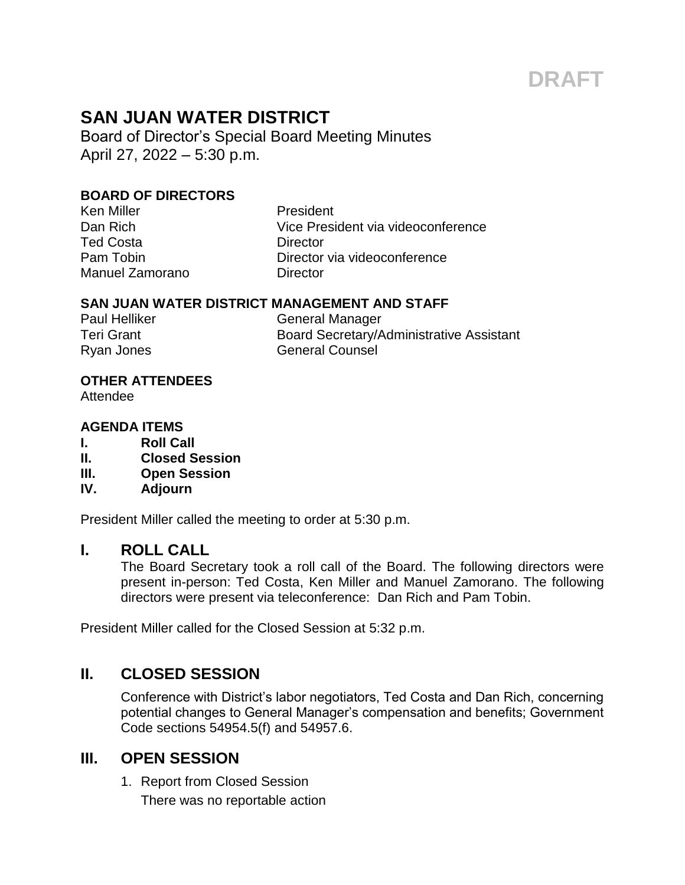# **DRAFT**

## **SAN JUAN WATER DISTRICT**

Board of Director's Special Board Meeting Minutes April 27, 2022 – 5:30 p.m.

#### **BOARD OF DIRECTORS**

Ken Miller **New York Contract President** Ted Costa **Director** Manuel Zamorano **Director** 

Dan Rich Vice President via videoconference Pam Tobin **Director** via videoconference

#### **SAN JUAN WATER DISTRICT MANAGEMENT AND STAFF**

Paul Helliker General Manager Teri Grant **Board Secretary/Administrative Assistant** Ryan Jones General Counsel

#### **OTHER ATTENDEES**

Attendee

#### **AGENDA ITEMS**

- **I. Roll Call**
- **II. Closed Session**
- **III. Open Session**
- **IV. Adjourn**

President Miller called the meeting to order at 5:30 p.m.

#### **I. ROLL CALL**

The Board Secretary took a roll call of the Board. The following directors were present in-person: Ted Costa, Ken Miller and Manuel Zamorano. The following directors were present via teleconference: Dan Rich and Pam Tobin.

President Miller called for the Closed Session at 5:32 p.m.

### **II. CLOSED SESSION**

Conference with District's labor negotiators, Ted Costa and Dan Rich, concerning potential changes to General Manager's compensation and benefits; Government Code sections 54954.5(f) and 54957.6.

#### **III. OPEN SESSION**

1. Report from Closed Session There was no reportable action